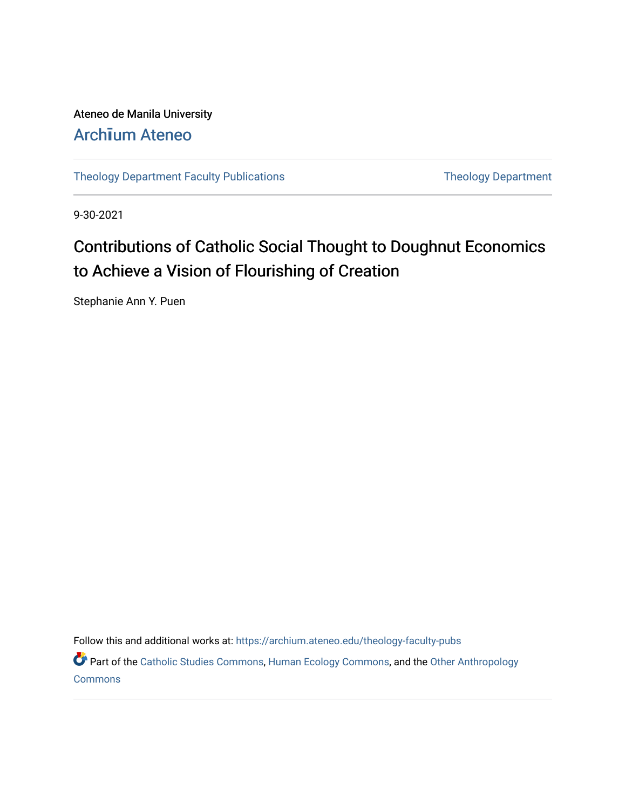# Ateneo de Manila University Arch**ī**[um Ateneo](https://archium.ateneo.edu/)

[Theology Department Faculty Publications](https://archium.ateneo.edu/theology-faculty-pubs) Theology Department

9-30-2021

# Contributions of Catholic Social Thought to Doughnut Economics to Achieve a Vision of Flourishing of Creation

Stephanie Ann Y. Puen

Follow this and additional works at: [https://archium.ateneo.edu/theology-faculty-pubs](https://archium.ateneo.edu/theology-faculty-pubs?utm_source=archium.ateneo.edu%2Ftheology-faculty-pubs%2F48&utm_medium=PDF&utm_campaign=PDFCoverPages) 

Part of the [Catholic Studies Commons](http://network.bepress.com/hgg/discipline/1294?utm_source=archium.ateneo.edu%2Ftheology-faculty-pubs%2F48&utm_medium=PDF&utm_campaign=PDFCoverPages), [Human Ecology Commons,](http://network.bepress.com/hgg/discipline/1335?utm_source=archium.ateneo.edu%2Ftheology-faculty-pubs%2F48&utm_medium=PDF&utm_campaign=PDFCoverPages) and the [Other Anthropology](http://network.bepress.com/hgg/discipline/324?utm_source=archium.ateneo.edu%2Ftheology-faculty-pubs%2F48&utm_medium=PDF&utm_campaign=PDFCoverPages) **[Commons](http://network.bepress.com/hgg/discipline/324?utm_source=archium.ateneo.edu%2Ftheology-faculty-pubs%2F48&utm_medium=PDF&utm_campaign=PDFCoverPages)**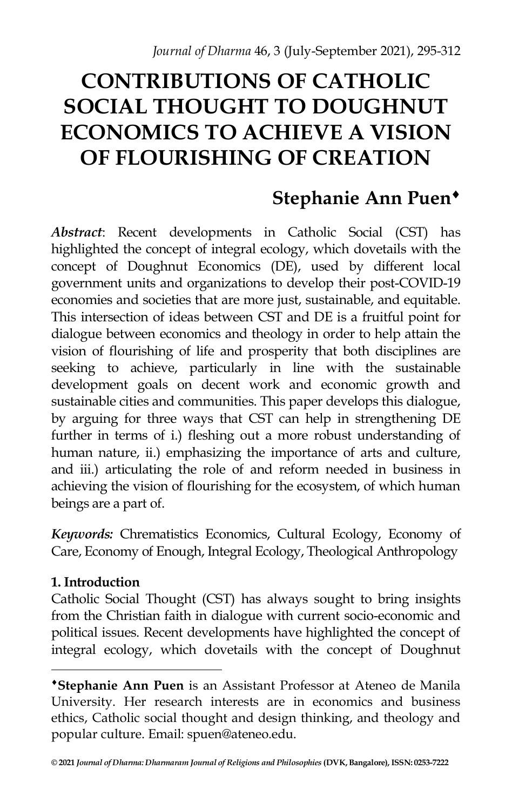# **CONTRIBUTIONS OF CATHOLIC SOCIAL THOUGHT TO DOUGHNUT ECONOMICS TO ACHIEVE A VISION OF FLOURISHING OF CREATION**

# **Stephanie Ann Puen**

*Abstract*: Recent developments in Catholic Social (CST) has highlighted the concept of integral ecology, which dovetails with the concept of Doughnut Economics (DE), used by different local government units and organizations to develop their post-COVID-19 economies and societies that are more just, sustainable, and equitable. This intersection of ideas between CST and DE is a fruitful point for dialogue between economics and theology in order to help attain the vision of flourishing of life and prosperity that both disciplines are seeking to achieve, particularly in line with the sustainable development goals on decent work and economic growth and sustainable cities and communities. This paper develops this dialogue, by arguing for three ways that CST can help in strengthening DE further in terms of i.) fleshing out a more robust understanding of human nature, ii.) emphasizing the importance of arts and culture, and iii.) articulating the role of and reform needed in business in achieving the vision of flourishing for the ecosystem, of which human beings are a part of.

*Keywords:* Chrematistics Economics, Cultural Ecology, Economy of Care, Economy of Enough, Integral Ecology, Theological Anthropology

# **1. Introduction**

 $\overline{a}$ 

Catholic Social Thought (CST) has always sought to bring insights from the Christian faith in dialogue with current socio-economic and political issues. Recent developments have highlighted the concept of integral ecology, which dovetails with the concept of Doughnut

**Stephanie Ann Puen** is an Assistant Professor at Ateneo de Manila University. Her research interests are in economics and business ethics, Catholic social thought and design thinking, and theology and popular culture. Email: spuen@ateneo.edu.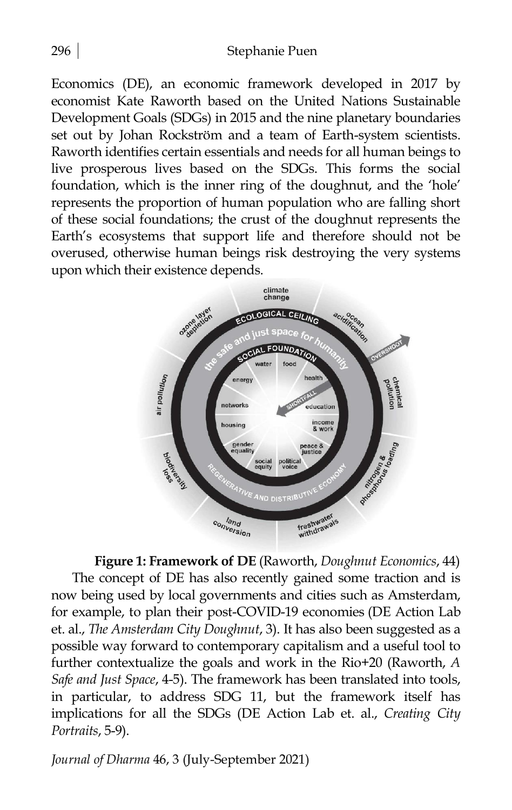Economics (DE), an economic framework developed in 2017 by economist Kate Raworth based on the United Nations Sustainable Development Goals (SDGs) in 2015 and the nine planetary boundaries set out by Johan Rockström and a team of Earth-system scientists. Raworth identifies certain essentials and needs for all human beings to live prosperous lives based on the SDGs. This forms the social foundation, which is the inner ring of the doughnut, and the 'hole' represents the proportion of human population who are falling short of these social foundations; the crust of the doughnut represents the Earth's ecosystems that support life and therefore should not be overused, otherwise human beings risk destroying the very systems upon which their existence depends.



**Figure 1: Framework of DE** (Raworth, *Doughnut Economics*, 44) The concept of DE has also recently gained some traction and is now being used by local governments and cities such as Amsterdam, for example, to plan their post-COVID-19 economies (DE Action Lab et. al., *The Amsterdam City Doughnut*, 3). It has also been suggested as a possible way forward to contemporary capitalism and a useful tool to further contextualize the goals and work in the Rio+20 (Raworth, *A Safe and Just Space*, 4-5). The framework has been translated into tools, in particular, to address SDG 11, but the framework itself has implications for all the SDGs (DE Action Lab et. al., *Creating City Portraits*, 5-9).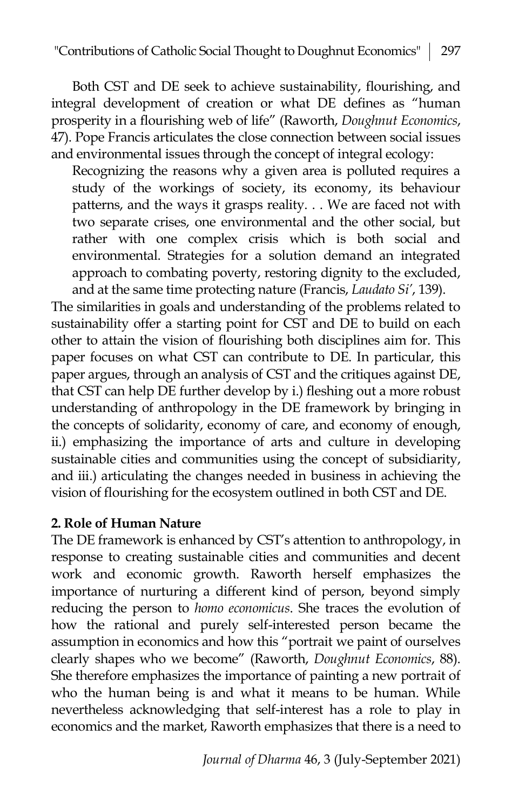Both CST and DE seek to achieve sustainability, flourishing, and integral development of creation or what DE defines as "human prosperity in a flourishing web of life" (Raworth, *Doughnut Economics*, 47). Pope Francis articulates the close connection between social issues and environmental issues through the concept of integral ecology:

Recognizing the reasons why a given area is polluted requires a study of the workings of society, its economy, its behaviour patterns, and the ways it grasps reality. . . We are faced not with two separate crises, one environmental and the other social, but rather with one complex crisis which is both social and environmental. Strategies for a solution demand an integrated approach to combating poverty, restoring dignity to the excluded, and at the same time protecting nature (Francis, *Laudato Si'*, 139).

The similarities in goals and understanding of the problems related to sustainability offer a starting point for CST and DE to build on each other to attain the vision of flourishing both disciplines aim for. This paper focuses on what CST can contribute to DE. In particular, this paper argues, through an analysis of CST and the critiques against DE, that CST can help DE further develop by i.) fleshing out a more robust understanding of anthropology in the DE framework by bringing in the concepts of solidarity, economy of care, and economy of enough, ii.) emphasizing the importance of arts and culture in developing sustainable cities and communities using the concept of subsidiarity, and iii.) articulating the changes needed in business in achieving the vision of flourishing for the ecosystem outlined in both CST and DE.

## **2. Role of Human Nature**

The DE framework is enhanced by CST's attention to anthropology, in response to creating sustainable cities and communities and decent work and economic growth. Raworth herself emphasizes the importance of nurturing a different kind of person, beyond simply reducing the person to *homo economicus*. She traces the evolution of how the rational and purely self-interested person became the assumption in economics and how this "portrait we paint of ourselves clearly shapes who we become" (Raworth, *Doughnut Economics*, 88). She therefore emphasizes the importance of painting a new portrait of who the human being is and what it means to be human. While nevertheless acknowledging that self-interest has a role to play in economics and the market, Raworth emphasizes that there is a need to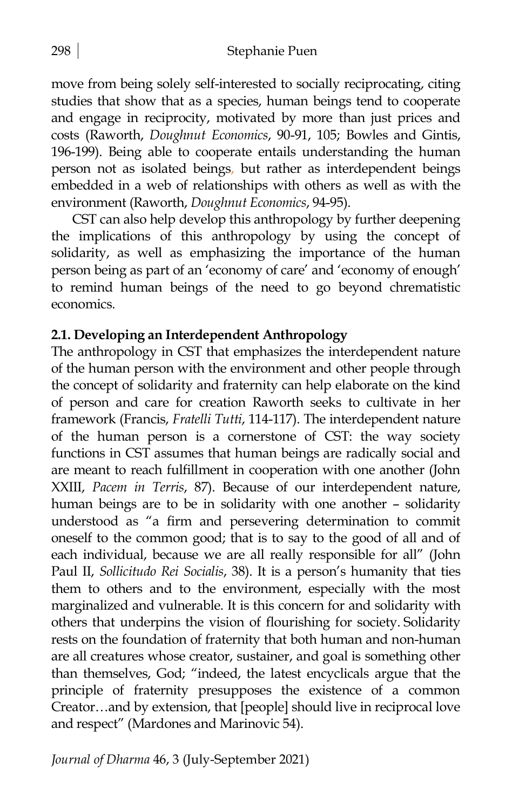move from being solely self-interested to socially reciprocating, citing studies that show that as a species, human beings tend to cooperate and engage in reciprocity, motivated by more than just prices and costs (Raworth, *Doughnut Economics*, 90-91, 105; Bowles and Gintis, 196-199). Being able to cooperate entails understanding the human person not as isolated beings, but rather as interdependent beings embedded in a web of relationships with others as well as with the environment (Raworth, *Doughnut Economics*, 94-95).

CST can also help develop this anthropology by further deepening the implications of this anthropology by using the concept of solidarity, as well as emphasizing the importance of the human person being as part of an 'economy of care' and 'economy of enough' to remind human beings of the need to go beyond chrematistic economics.

# **2.1. Developing an Interdependent Anthropology**

The anthropology in CST that emphasizes the interdependent nature of the human person with the environment and other people through the concept of solidarity and fraternity can help elaborate on the kind of person and care for creation Raworth seeks to cultivate in her framework (Francis, *Fratelli Tutti*, 114-117). The interdependent nature of the human person is a cornerstone of CST: the way society functions in CST assumes that human beings are radically social and are meant to reach fulfillment in cooperation with one another (John XXIII, *Pacem in Terris*, 87). Because of our interdependent nature, human beings are to be in solidarity with one another – solidarity understood as "a firm and persevering determination to commit oneself to the common good; that is to say to the good of all and of each individual, because we are all really responsible for all" (John Paul II, *Sollicitudo Rei Socialis*, 38). It is a person's humanity that ties them to others and to the environment, especially with the most marginalized and vulnerable. It is this concern for and solidarity with others that underpins the vision of flourishing for society. Solidarity rests on the foundation of fraternity that both human and non-human are all creatures whose creator, sustainer, and goal is something other than themselves, God; "indeed, the latest encyclicals argue that the principle of fraternity presupposes the existence of a common Creator…and by extension, that [people] should live in reciprocal love and respect" (Mardones and Marinovic 54).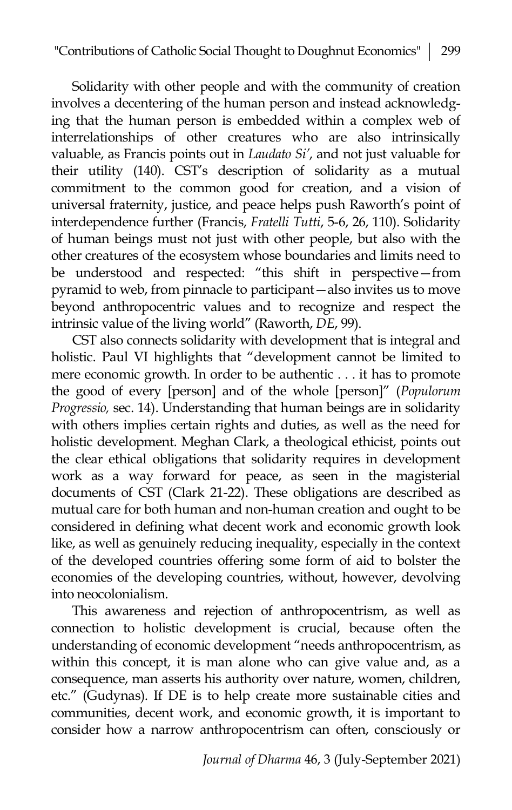Solidarity with other people and with the community of creation involves a decentering of the human person and instead acknowledging that the human person is embedded within a complex web of interrelationships of other creatures who are also intrinsically valuable, as Francis points out in *Laudato Si'*, and not just valuable for their utility (140). CST's description of solidarity as a mutual commitment to the common good for creation, and a vision of universal fraternity, justice, and peace helps push Raworth's point of interdependence further (Francis, *Fratelli Tutti*, 5-6, 26, 110). Solidarity of human beings must not just with other people, but also with the other creatures of the ecosystem whose boundaries and limits need to be understood and respected: "this shift in perspective—from pyramid to web, from pinnacle to participant—also invites us to move beyond anthropocentric values and to recognize and respect the intrinsic value of the living world" (Raworth, *DE*, 99).

CST also connects solidarity with development that is integral and holistic. Paul VI highlights that "development cannot be limited to mere economic growth. In order to be authentic . . . it has to promote the good of every [person] and of the whole [person]" (*Populorum Progressio,* sec. 14). Understanding that human beings are in solidarity with others implies certain rights and duties, as well as the need for holistic development. Meghan Clark, a theological ethicist, points out the clear ethical obligations that solidarity requires in development work as a way forward for peace, as seen in the magisterial documents of CST (Clark 21-22). These obligations are described as mutual care for both human and non-human creation and ought to be considered in defining what decent work and economic growth look like, as well as genuinely reducing inequality, especially in the context of the developed countries offering some form of aid to bolster the economies of the developing countries, without, however, devolving into neocolonialism.

This awareness and rejection of anthropocentrism, as well as connection to holistic development is crucial, because often the understanding of economic development "needs anthropocentrism, as within this concept, it is man alone who can give value and, as a consequence, man asserts his authority over nature, women, children, etc." (Gudynas). If DE is to help create more sustainable cities and communities, decent work, and economic growth, it is important to consider how a narrow anthropocentrism can often, consciously or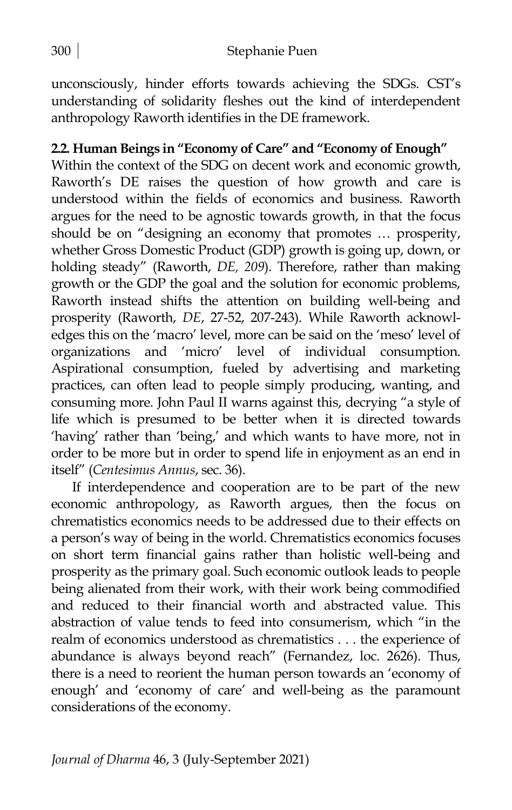unconsciously, hinder efforts towards achieving the SDGs. CST's understanding of solidarity fleshes out the kind of interdependent anthropology Raworth identifies in the DE framework.

# **2.2. Human Beings in "Economy of Care" and "Economy of Enough"**

Within the context of the SDG on decent work and economic growth, Raworth's DE raises the question of how growth and care is understood within the fields of economics and business. Raworth argues for the need to be agnostic towards growth, in that the focus should be on "designing an economy that promotes … prosperity, whether Gross Domestic Product (GDP) growth is going up, down, or holding steady" (Raworth, *DE, 209*). Therefore, rather than making growth or the GDP the goal and the solution for economic problems, Raworth instead shifts the attention on building well-being and prosperity (Raworth, *DE*, 27-52, 207-243). While Raworth acknowledges this on the 'macro' level, more can be said on the 'meso' level of organizations and 'micro' level of individual consumption. Aspirational consumption, fueled by advertising and marketing practices, can often lead to people simply producing, wanting, and consuming more. John Paul II warns against this, decrying "a style of life which is presumed to be better when it is directed towards 'having' rather than 'being,' and which wants to have more, not in order to be more but in order to spend life in enjoyment as an end in itself" (*Centesimus Annus*, sec. 36).

If interdependence and cooperation are to be part of the new economic anthropology, as Raworth argues, then the focus on chrematistics economics needs to be addressed due to their effects on a person's way of being in the world. Chrematistics economics focuses on short term financial gains rather than holistic well-being and prosperity as the primary goal. Such economic outlook leads to people being alienated from their work, with their work being commodified and reduced to their financial worth and abstracted value. This abstraction of value tends to feed into consumerism, which "in the realm of economics understood as chrematistics . . . the experience of abundance is always beyond reach" (Fernandez, loc. 2626). Thus, there is a need to reorient the human person towards an 'economy of enough' and 'economy of care' and well-being as the paramount considerations of the economy.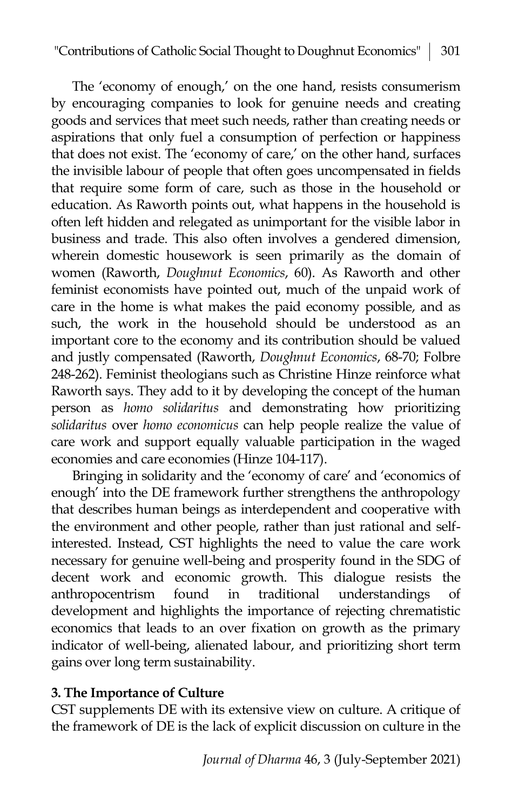The 'economy of enough,' on the one hand, resists consumerism by encouraging companies to look for genuine needs and creating goods and services that meet such needs, rather than creating needs or aspirations that only fuel a consumption of perfection or happiness that does not exist. The 'economy of care,' on the other hand, surfaces the invisible labour of people that often goes uncompensated in fields that require some form of care, such as those in the household or education. As Raworth points out, what happens in the household is often left hidden and relegated as unimportant for the visible labor in business and trade. This also often involves a gendered dimension, wherein domestic housework is seen primarily as the domain of women (Raworth, *Doughnut Economics*, 60). As Raworth and other feminist economists have pointed out, much of the unpaid work of care in the home is what makes the paid economy possible, and as such, the work in the household should be understood as an important core to the economy and its contribution should be valued and justly compensated (Raworth, *Doughnut Economics*, 68-70; Folbre 248-262). Feminist theologians such as Christine Hinze reinforce what Raworth says. They add to it by developing the concept of the human person as *homo solidaritus* and demonstrating how prioritizing *solidaritus* over *homo economicus* can help people realize the value of care work and support equally valuable participation in the waged economies and care economies (Hinze 104-117).

Bringing in solidarity and the 'economy of care' and 'economics of enough' into the DE framework further strengthens the anthropology that describes human beings as interdependent and cooperative with the environment and other people, rather than just rational and selfinterested. Instead, CST highlights the need to value the care work necessary for genuine well-being and prosperity found in the SDG of decent work and economic growth. This dialogue resists the anthropocentrism found in traditional understandings of development and highlights the importance of rejecting chrematistic economics that leads to an over fixation on growth as the primary indicator of well-being, alienated labour, and prioritizing short term gains over long term sustainability.

# **3. The Importance of Culture**

CST supplements DE with its extensive view on culture. A critique of the framework of DE is the lack of explicit discussion on culture in the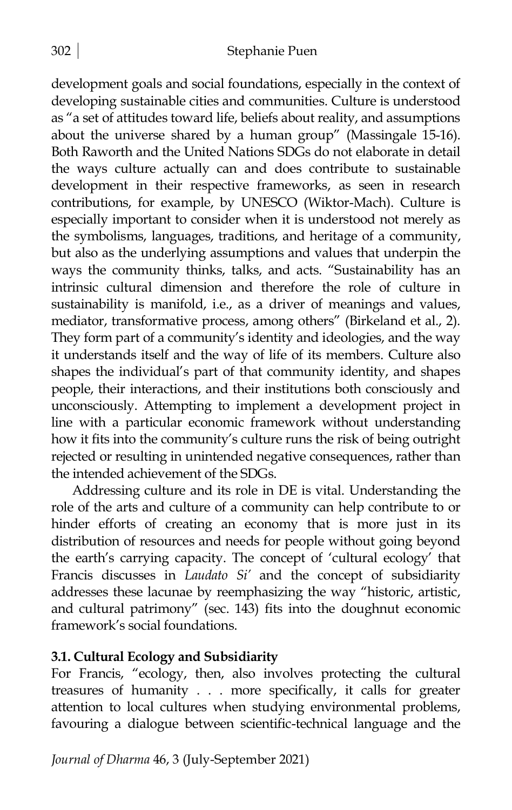development goals and social foundations, especially in the context of developing sustainable cities and communities. Culture is understood as "a set of attitudes toward life, beliefs about reality, and assumptions about the universe shared by a human group" (Massingale 15-16). Both Raworth and the United Nations SDGs do not elaborate in detail the ways culture actually can and does contribute to sustainable development in their respective frameworks, as seen in research contributions, for example, by UNESCO (Wiktor-Mach). Culture is especially important to consider when it is understood not merely as the symbolisms, languages, traditions, and heritage of a community, but also as the underlying assumptions and values that underpin the ways the community thinks, talks, and acts. "Sustainability has an intrinsic cultural dimension and therefore the role of culture in sustainability is manifold, i.e., as a driver of meanings and values, mediator, transformative process, among others" (Birkeland et al., 2). They form part of a community's identity and ideologies, and the way it understands itself and the way of life of its members. Culture also shapes the individual's part of that community identity, and shapes people, their interactions, and their institutions both consciously and unconsciously. Attempting to implement a development project in line with a particular economic framework without understanding how it fits into the community's culture runs the risk of being outright rejected or resulting in unintended negative consequences, rather than the intended achievement of the SDGs.

Addressing culture and its role in DE is vital. Understanding the role of the arts and culture of a community can help contribute to or hinder efforts of creating an economy that is more just in its distribution of resources and needs for people without going beyond the earth's carrying capacity. The concept of 'cultural ecology' that Francis discusses in *Laudato Si'* and the concept of subsidiarity addresses these lacunae by reemphasizing the way "historic, artistic, and cultural patrimony" (sec. 143) fits into the doughnut economic framework's social foundations.

## **3.1. Cultural Ecology and Subsidiarity**

For Francis, "ecology, then, also involves protecting the cultural treasures of humanity . . . more specifically, it calls for greater attention to local cultures when studying environmental problems, favouring a dialogue between scientific-technical language and the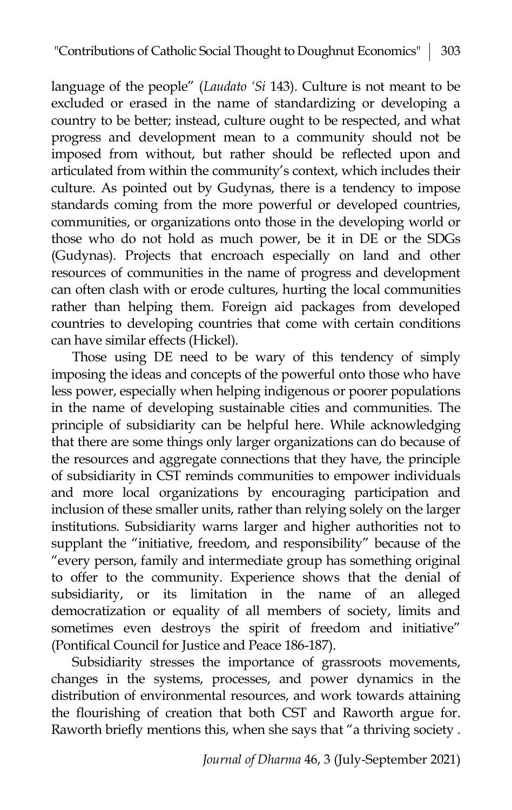language of the people" (*Laudato 'Si* 143). Culture is not meant to be excluded or erased in the name of standardizing or developing a country to be better; instead, culture ought to be respected, and what progress and development mean to a community should not be imposed from without, but rather should be reflected upon and articulated from within the community's context, which includes their culture. As pointed out by Gudynas, there is a tendency to impose standards coming from the more powerful or developed countries, communities, or organizations onto those in the developing world or those who do not hold as much power, be it in DE or the SDGs (Gudynas). Projects that encroach especially on land and other resources of communities in the name of progress and development can often clash with or erode cultures, hurting the local communities rather than helping them. Foreign aid packages from developed countries to developing countries that come with certain conditions can have similar effects (Hickel).

Those using DE need to be wary of this tendency of simply imposing the ideas and concepts of the powerful onto those who have less power, especially when helping indigenous or poorer populations in the name of developing sustainable cities and communities. The principle of subsidiarity can be helpful here. While acknowledging that there are some things only larger organizations can do because of the resources and aggregate connections that they have, the principle of subsidiarity in CST reminds communities to empower individuals and more local organizations by encouraging participation and inclusion of these smaller units, rather than relying solely on the larger institutions. Subsidiarity warns larger and higher authorities not to supplant the "initiative, freedom, and responsibility" because of the "every person, family and intermediate group has something original to offer to the community. Experience shows that the denial of subsidiarity, or its limitation in the name of an alleged democratization or equality of all members of society, limits and sometimes even destroys the spirit of freedom and initiative" (Pontifical Council for Justice and Peace 186-187).

Subsidiarity stresses the importance of grassroots movements, changes in the systems, processes, and power dynamics in the distribution of environmental resources, and work towards attaining the flourishing of creation that both CST and Raworth argue for. Raworth briefly mentions this, when she says that "a thriving society .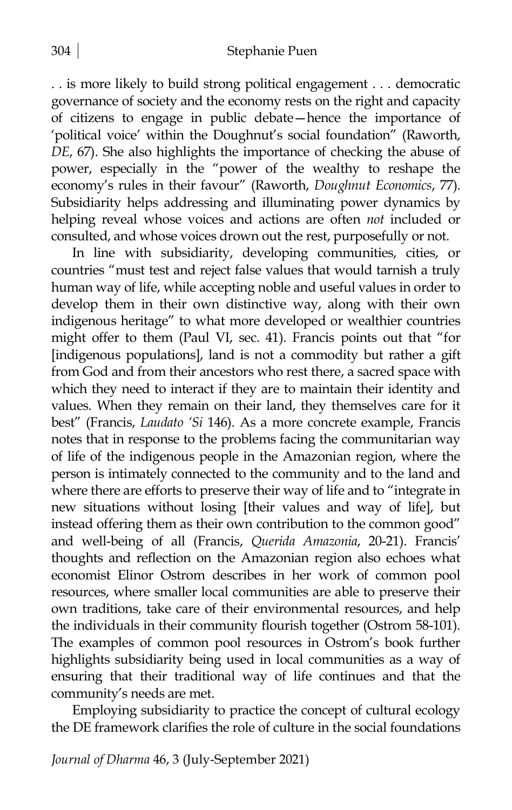. . is more likely to build strong political engagement . . . democratic governance of society and the economy rests on the right and capacity of citizens to engage in public debate—hence the importance of 'political voice' within the Doughnut's social foundation" (Raworth, *DE*, 67). She also highlights the importance of checking the abuse of power, especially in the "power of the wealthy to reshape the economy's rules in their favour" (Raworth, *Doughnut Economics*, 77). Subsidiarity helps addressing and illuminating power dynamics by helping reveal whose voices and actions are often *not* included or consulted, and whose voices drown out the rest, purposefully or not.

In line with subsidiarity, developing communities, cities, or countries "must test and reject false values that would tarnish a truly human way of life, while accepting noble and useful values in order to develop them in their own distinctive way, along with their own indigenous heritage" to what more developed or wealthier countries might offer to them (Paul VI, sec. 41). Francis points out that "for [indigenous populations], land is not a commodity but rather a gift from God and from their ancestors who rest there, a sacred space with which they need to interact if they are to maintain their identity and values. When they remain on their land, they themselves care for it best" (Francis, *Laudato 'Si* 146). As a more concrete example, Francis notes that in response to the problems facing the communitarian way of life of the indigenous people in the Amazonian region, where the person is intimately connected to the community and to the land and where there are efforts to preserve their way of life and to "integrate in new situations without losing [their values and way of life], but instead offering them as their own contribution to the common good" and well-being of all (Francis, *Querida Amazonia*, 20-21). Francis' thoughts and reflection on the Amazonian region also echoes what economist Elinor Ostrom describes in her work of common pool resources, where smaller local communities are able to preserve their own traditions, take care of their environmental resources, and help the individuals in their community flourish together (Ostrom 58-101). The examples of common pool resources in Ostrom's book further highlights subsidiarity being used in local communities as a way of ensuring that their traditional way of life continues and that the community's needs are met.

Employing subsidiarity to practice the concept of cultural ecology the DE framework clarifies the role of culture in the social foundations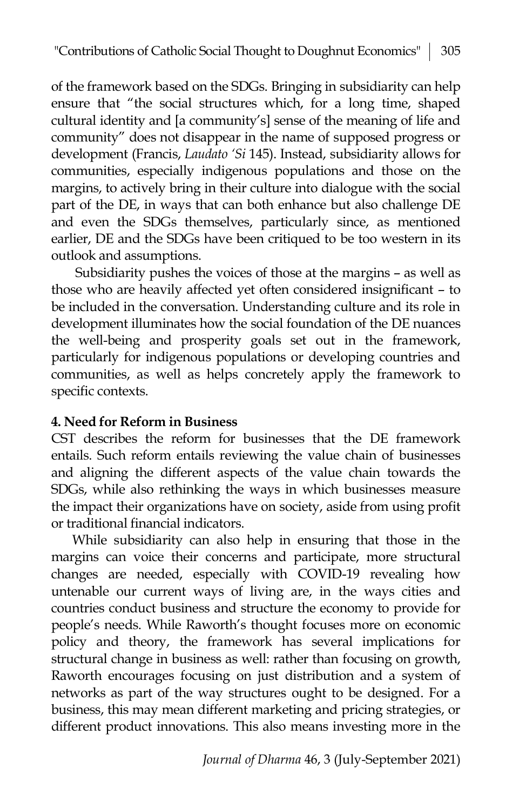of the framework based on the SDGs. Bringing in subsidiarity can help ensure that "the social structures which, for a long time, shaped cultural identity and [a community's] sense of the meaning of life and community" does not disappear in the name of supposed progress or development (Francis, *Laudato 'Si* 145). Instead, subsidiarity allows for communities, especially indigenous populations and those on the margins, to actively bring in their culture into dialogue with the social part of the DE, in ways that can both enhance but also challenge DE and even the SDGs themselves, particularly since, as mentioned earlier, DE and the SDGs have been critiqued to be too western in its outlook and assumptions.

Subsidiarity pushes the voices of those at the margins – as well as those who are heavily affected yet often considered insignificant – to be included in the conversation. Understanding culture and its role in development illuminates how the social foundation of the DE nuances the well-being and prosperity goals set out in the framework, particularly for indigenous populations or developing countries and communities, as well as helps concretely apply the framework to specific contexts.

## **4. Need for Reform in Business**

CST describes the reform for businesses that the DE framework entails. Such reform entails reviewing the value chain of businesses and aligning the different aspects of the value chain towards the SDGs, while also rethinking the ways in which businesses measure the impact their organizations have on society, aside from using profit or traditional financial indicators.

While subsidiarity can also help in ensuring that those in the margins can voice their concerns and participate, more structural changes are needed, especially with COVID-19 revealing how untenable our current ways of living are, in the ways cities and countries conduct business and structure the economy to provide for people's needs. While Raworth's thought focuses more on economic policy and theory, the framework has several implications for structural change in business as well: rather than focusing on growth, Raworth encourages focusing on just distribution and a system of networks as part of the way structures ought to be designed. For a business, this may mean different marketing and pricing strategies, or different product innovations. This also means investing more in the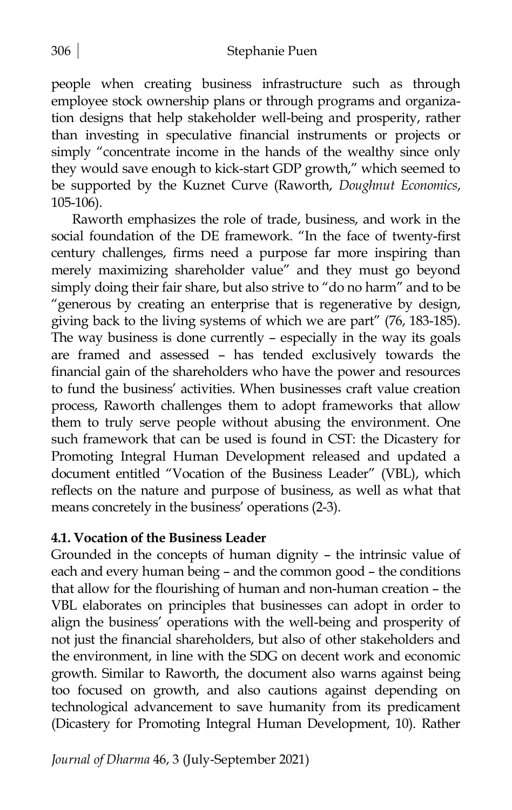people when creating business infrastructure such as through employee stock ownership plans or through programs and organization designs that help stakeholder well-being and prosperity, rather than investing in speculative financial instruments or projects or simply "concentrate income in the hands of the wealthy since only they would save enough to kick-start GDP growth," which seemed to be supported by the Kuznet Curve (Raworth, *Doughnut Economics*, 105-106).

Raworth emphasizes the role of trade, business, and work in the social foundation of the DE framework. "In the face of twenty-first century challenges, firms need a purpose far more inspiring than merely maximizing shareholder value" and they must go beyond simply doing their fair share, but also strive to "do no harm" and to be "generous by creating an enterprise that is regenerative by design, giving back to the living systems of which we are part" (76, 183-185). The way business is done currently – especially in the way its goals are framed and assessed – has tended exclusively towards the financial gain of the shareholders who have the power and resources to fund the business' activities. When businesses craft value creation process, Raworth challenges them to adopt frameworks that allow them to truly serve people without abusing the environment. One such framework that can be used is found in CST: the Dicastery for Promoting Integral Human Development released and updated a document entitled "Vocation of the Business Leader" (VBL), which reflects on the nature and purpose of business, as well as what that means concretely in the business' operations (2-3).

## **4.1. Vocation of the Business Leader**

Grounded in the concepts of human dignity – the intrinsic value of each and every human being – and the common good – the conditions that allow for the flourishing of human and non-human creation – the VBL elaborates on principles that businesses can adopt in order to align the business' operations with the well-being and prosperity of not just the financial shareholders, but also of other stakeholders and the environment, in line with the SDG on decent work and economic growth. Similar to Raworth, the document also warns against being too focused on growth, and also cautions against depending on technological advancement to save humanity from its predicament (Dicastery for Promoting Integral Human Development, 10). Rather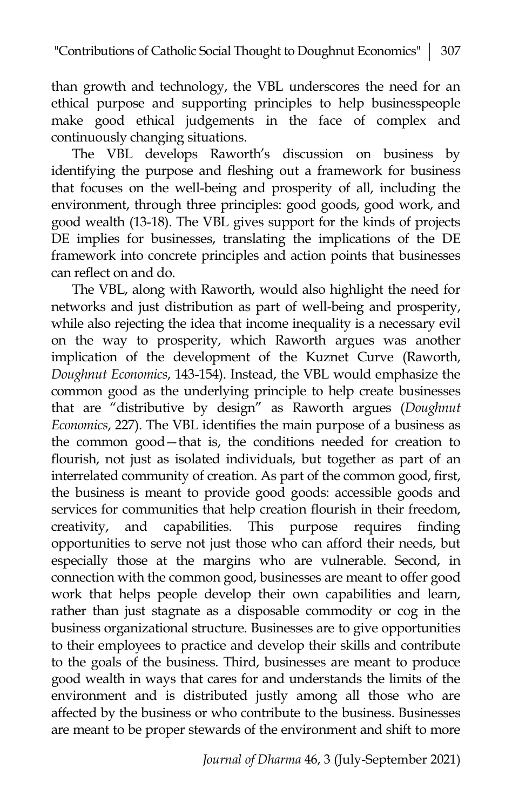than growth and technology, the VBL underscores the need for an ethical purpose and supporting principles to help businesspeople make good ethical judgements in the face of complex and continuously changing situations.

The VBL develops Raworth's discussion on business by identifying the purpose and fleshing out a framework for business that focuses on the well-being and prosperity of all, including the environment, through three principles: good goods, good work, and good wealth (13-18). The VBL gives support for the kinds of projects DE implies for businesses, translating the implications of the DE framework into concrete principles and action points that businesses can reflect on and do.

The VBL, along with Raworth, would also highlight the need for networks and just distribution as part of well-being and prosperity, while also rejecting the idea that income inequality is a necessary evil on the way to prosperity, which Raworth argues was another implication of the development of the Kuznet Curve (Raworth, *Doughnut Economics*, 143-154). Instead, the VBL would emphasize the common good as the underlying principle to help create businesses that are "distributive by design" as Raworth argues (*Doughnut Economics*, 227). The VBL identifies the main purpose of a business as the common good—that is, the conditions needed for creation to flourish, not just as isolated individuals, but together as part of an interrelated community of creation. As part of the common good, first, the business is meant to provide good goods: accessible goods and services for communities that help creation flourish in their freedom, creativity, and capabilities. This purpose requires finding opportunities to serve not just those who can afford their needs, but especially those at the margins who are vulnerable. Second, in connection with the common good, businesses are meant to offer good work that helps people develop their own capabilities and learn, rather than just stagnate as a disposable commodity or cog in the business organizational structure. Businesses are to give opportunities to their employees to practice and develop their skills and contribute to the goals of the business. Third, businesses are meant to produce good wealth in ways that cares for and understands the limits of the environment and is distributed justly among all those who are affected by the business or who contribute to the business. Businesses are meant to be proper stewards of the environment and shift to more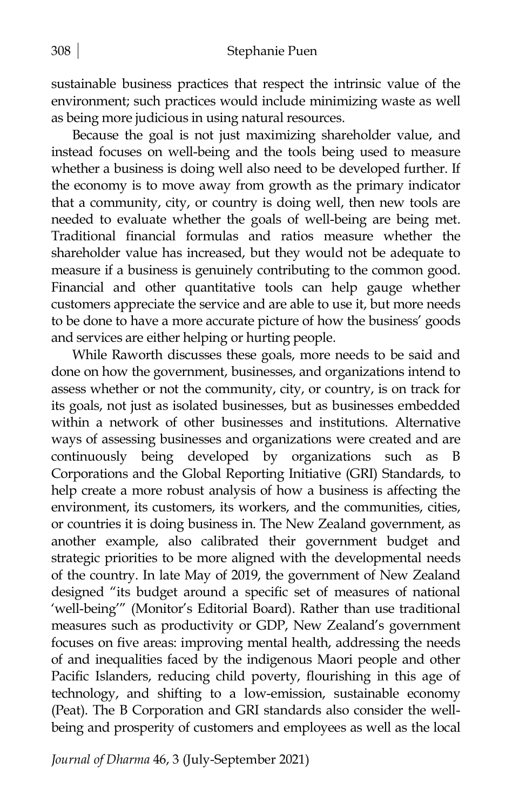sustainable business practices that respect the intrinsic value of the environment; such practices would include minimizing waste as well as being more judicious in using natural resources.

Because the goal is not just maximizing shareholder value, and instead focuses on well-being and the tools being used to measure whether a business is doing well also need to be developed further. If the economy is to move away from growth as the primary indicator that a community, city, or country is doing well, then new tools are needed to evaluate whether the goals of well-being are being met. Traditional financial formulas and ratios measure whether the shareholder value has increased, but they would not be adequate to measure if a business is genuinely contributing to the common good. Financial and other quantitative tools can help gauge whether customers appreciate the service and are able to use it, but more needs to be done to have a more accurate picture of how the business' goods and services are either helping or hurting people.

While Raworth discusses these goals, more needs to be said and done on how the government, businesses, and organizations intend to assess whether or not the community, city, or country, is on track for its goals, not just as isolated businesses, but as businesses embedded within a network of other businesses and institutions. Alternative ways of assessing businesses and organizations were created and are continuously being developed by organizations such as Corporations and the Global Reporting Initiative (GRI) Standards, to help create a more robust analysis of how a business is affecting the environment, its customers, its workers, and the communities, cities, or countries it is doing business in. The New Zealand government, as another example, also calibrated their government budget and strategic priorities to be more aligned with the developmental needs of the country. In late May of 2019, the government of New Zealand designed "its budget around a specific set of measures of national 'well-being'" (Monitor's Editorial Board). Rather than use traditional measures such as productivity or GDP, New Zealand's government focuses on five areas: improving mental health, addressing the needs of and inequalities faced by the indigenous Maori people and other Pacific Islanders, reducing child poverty, flourishing in this age of technology, and shifting to a low-emission, sustainable economy (Peat). The B Corporation and GRI standards also consider the wellbeing and prosperity of customers and employees as well as the local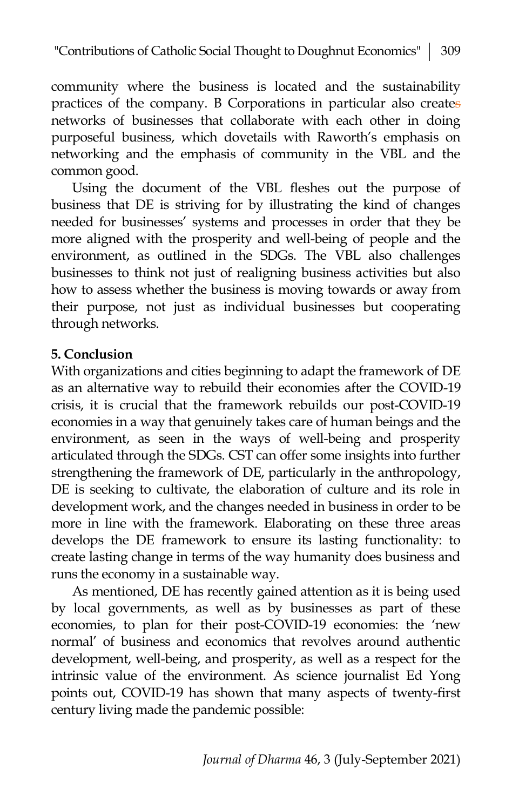community where the business is located and the sustainability practices of the company. B Corporations in particular also creates networks of businesses that collaborate with each other in doing purposeful business, which dovetails with Raworth's emphasis on networking and the emphasis of community in the VBL and the common good.

Using the document of the VBL fleshes out the purpose of business that DE is striving for by illustrating the kind of changes needed for businesses' systems and processes in order that they be more aligned with the prosperity and well-being of people and the environment, as outlined in the SDGs. The VBL also challenges businesses to think not just of realigning business activities but also how to assess whether the business is moving towards or away from their purpose, not just as individual businesses but cooperating through networks.

## **5. Conclusion**

With organizations and cities beginning to adapt the framework of DE as an alternative way to rebuild their economies after the COVID-19 crisis, it is crucial that the framework rebuilds our post-COVID-19 economies in a way that genuinely takes care of human beings and the environment, as seen in the ways of well-being and prosperity articulated through the SDGs. CST can offer some insights into further strengthening the framework of DE, particularly in the anthropology, DE is seeking to cultivate, the elaboration of culture and its role in development work, and the changes needed in business in order to be more in line with the framework. Elaborating on these three areas develops the DE framework to ensure its lasting functionality: to create lasting change in terms of the way humanity does business and runs the economy in a sustainable way.

As mentioned, DE has recently gained attention as it is being used by local governments, as well as by businesses as part of these economies, to plan for their post-COVID-19 economies: the 'new normal' of business and economics that revolves around authentic development, well-being, and prosperity, as well as a respect for the intrinsic value of the environment. As science journalist Ed Yong points out, COVID-19 has shown that many aspects of twenty-first century living made the pandemic possible: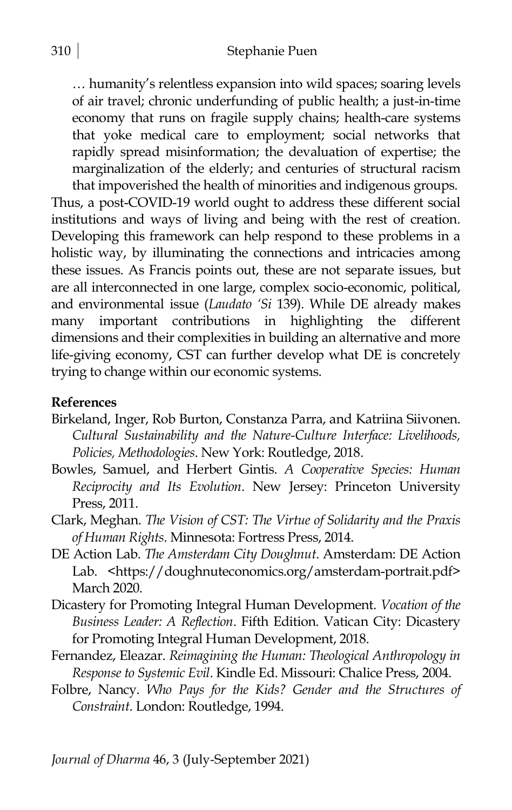… humanity's relentless expansion into wild spaces; soaring levels of air travel; chronic underfunding of public health; a just-in-time economy that runs on fragile supply chains; health-care systems that yoke medical care to employment; social networks that rapidly spread misinformation; the devaluation of expertise; the marginalization of the elderly; and centuries of structural racism that impoverished the health of minorities and indigenous groups.

Thus, a post-COVID-19 world ought to address these different social institutions and ways of living and being with the rest of creation. Developing this framework can help respond to these problems in a holistic way, by illuminating the connections and intricacies among these issues. As Francis points out, these are not separate issues, but are all interconnected in one large, complex socio-economic, political, and environmental issue (*Laudato 'Si* 139). While DE already makes many important contributions in highlighting the different dimensions and their complexities in building an alternative and more life-giving economy, CST can further develop what DE is concretely trying to change within our economic systems.

#### **References**

- Birkeland, Inger, Rob Burton, Constanza Parra, and Katriina Siivonen. *Cultural Sustainability and the Nature-Culture Interface: Livelihoods, Policies, Methodologies*. New York: Routledge, 2018.
- Bowles, Samuel, and Herbert Gintis. *A Cooperative Species: Human Reciprocity and Its Evolution*. New Jersey: Princeton University Press, 2011.
- Clark, Meghan. *The Vision of CST: The Virtue of Solidarity and the Praxis of Human Rights*. Minnesota: Fortress Press, 2014.
- DE Action Lab. *The Amsterdam City Doughnut*. Amsterdam: DE Action Lab. <https://doughnuteconomics.org/amsterdam-portrait.pdf> March 2020.
- Dicastery for Promoting Integral Human Development. *Vocation of the Business Leader: A Reflection*. Fifth Edition. Vatican City: Dicastery for Promoting Integral Human Development, 2018.
- Fernandez, Eleazar. *Reimagining the Human: Theological Anthropology in Response to Systemic Evil*. Kindle Ed. Missouri: Chalice Press, 2004.
- Folbre, Nancy. *Who Pays for the Kids? Gender and the Structures of Constraint*. London: Routledge, 1994.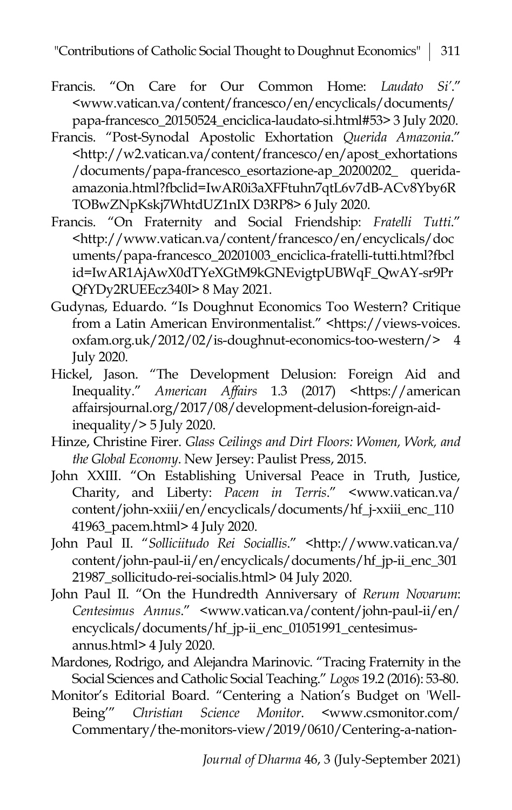- Francis. "On Care for Our Common Home: *Laudato Si'*." <www.vatican.va/content/francesco/en/encyclicals/documents/ papa-francesco\_20150524\_enciclica-laudato-si.html#53> 3 July 2020.
- Francis. "Post-Synodal Apostolic Exhortation *Querida Amazonia*." <http://w2.vatican.va/content/francesco/en/apost\_exhortations /documents/papa-francesco\_esortazione-ap\_20200202\_ queridaamazonia.html?fbclid=IwAR0i3aXFFtuhn7qtL6v7dB-ACv8Yby6R TOBwZNpKskj7WhtdUZ1nIX D3RP8> 6 July 2020.
- Francis. "On Fraternity and Social Friendship: *Fratelli Tutti*." <http://www.vatican.va/content/francesco/en/encyclicals/doc uments/papa-francesco\_20201003\_enciclica-fratelli-tutti.html?fbcl id=IwAR1AjAwX0dTYeXGtM9kGNEvigtpUBWqF\_QwAY-sr9Pr QfYDy2RUEEcz340I> 8 May 2021.
- Gudynas, Eduardo. "Is Doughnut Economics Too Western? Critique from a Latin American Environmentalist." <https://views-voices. oxfam.org.uk/2012/02/is-doughnut-economics-too-western/> 4 July 2020.
- Hickel, Jason. "The Development Delusion: Foreign Aid and Inequality." *American Affairs* 1.3 (2017) <https://american affairsjournal.org/2017/08/development-delusion-foreign-aidinequality/ $> 5$  July 2020.
- Hinze, Christine Firer. *Glass Ceilings and Dirt Floors: Women, Work, and the Global Economy*. New Jersey: Paulist Press, 2015.
- John XXIII. "On Establishing Universal Peace in Truth, Justice, Charity, and Liberty: *Pacem in Terris*." <www.vatican.va/ content/john-xxiii/en/encyclicals/documents/hf\_j-xxiii\_enc\_110 41963\_pacem.html> 4 July 2020.
- John Paul II. "*Solliciitudo Rei Sociallis*." <http://www.vatican.va/ content/john-paul-ii/en/encyclicals/documents/hf\_jp-ii\_enc\_301 21987\_sollicitudo-rei-socialis.html> 04 July 2020.
- John Paul II. "On the Hundredth Anniversary of *Rerum Novarum*: *Centesimus Annus*." <www.vatican.va/content/john-paul-ii/en/ encyclicals/documents/hf\_jp-ii\_enc\_01051991\_centesimusannus.html> 4 July 2020.
- Mardones, Rodrigo, and Alejandra Marinovic. "Tracing Fraternity in the Social Sciences and Catholic Social Teaching." *Logos* 19.2 (2016): 53-80.
- Monitor's Editorial Board. "Centering a Nation's Budget on 'Well-Being'" *Christian Science Monitor*. <www.csmonitor.com/ Commentary/the-monitors-view/2019/0610/Centering-a-nation-